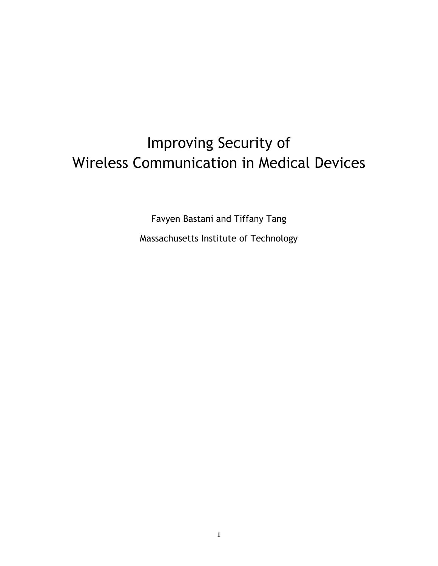# Improving Security of Wireless Communication in Medical Devices

Favyen Bastani and Tiffany Tang Massachusetts Institute of Technology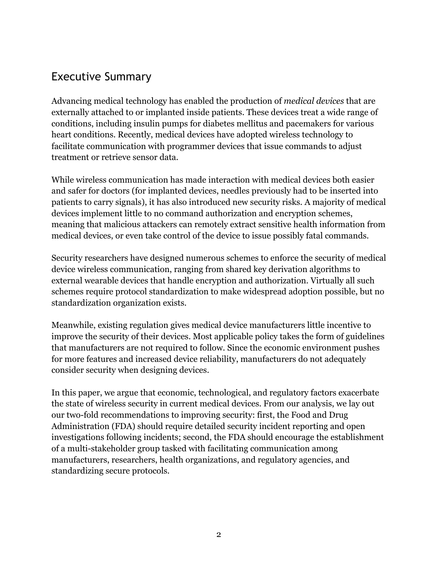### Executive Summary

Advancing medical technology has enabled the production of *medical devices* that are externally attached to or implanted inside patients. These devices treat a wide range of conditions, including insulin pumps for diabetes mellitus and pacemakers for various heart conditions. Recently, medical devices have adopted wireless technology to facilitate communication with programmer devices that issue commands to adjust treatment or retrieve sensor data.

While wireless communication has made interaction with medical devices both easier and safer for doctors (for implanted devices, needles previously had to be inserted into patients to carry signals), it has also introduced new security risks. A majority of medical devices implement little to no command authorization and encryption schemes, meaning that malicious attackers can remotely extract sensitive health information from medical devices, or even take control of the device to issue possibly fatal commands.

Security researchers have designed numerous schemes to enforce the security of medical device wireless communication, ranging from shared key derivation algorithms to external wearable devices that handle encryption and authorization. Virtually all such schemes require protocol standardization to make widespread adoption possible, but no standardization organization exists.

Meanwhile, existing regulation gives medical device manufacturers little incentive to improve the security of their devices. Most applicable policy takes the form of guidelines that manufacturers are not required to follow. Since the economic environment pushes for more features and increased device reliability, manufacturers do not adequately consider security when designing devices.

In this paper, we argue that economic, technological, and regulatory factors exacerbate the state of wireless security in current medical devices. From our analysis, we lay out our two-fold recommendations to improving security: first, the Food and Drug Administration (FDA) should require detailed security incident reporting and open investigations following incidents; second, the FDA should encourage the establishment of a multi-stakeholder group tasked with facilitating communication among manufacturers, researchers, health organizations, and regulatory agencies, and standardizing secure protocols.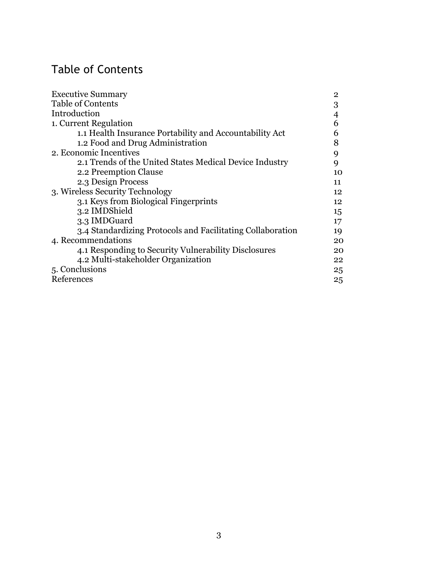# Table of Contents

| <b>Executive Summary</b>                                   | $\mathbf{2}$ |
|------------------------------------------------------------|--------------|
| <b>Table of Contents</b>                                   | 3            |
| Introduction                                               | 4            |
| 1. Current Regulation                                      | 6            |
| 1.1 Health Insurance Portability and Accountability Act    | 6            |
| 1.2 Food and Drug Administration                           | 8            |
| 2. Economic Incentives                                     | 9            |
| 2.1 Trends of the United States Medical Device Industry    | 9            |
| 2.2 Preemption Clause                                      | 10           |
| 2.3 Design Process                                         | 11           |
| 3. Wireless Security Technology                            | 12           |
| 3.1 Keys from Biological Fingerprints                      | 12           |
| 3.2 IMDShield                                              | 15           |
| 3.3 IMDGuard                                               | 17           |
| 3.4 Standardizing Protocols and Facilitating Collaboration | 19           |
| 4. Recommendations                                         | 20           |
| 4.1 Responding to Security Vulnerability Disclosures       | 20           |
| 4.2 Multi-stakeholder Organization                         | 22           |
| 5. Conclusions                                             | 25           |
| References                                                 | 25           |
|                                                            |              |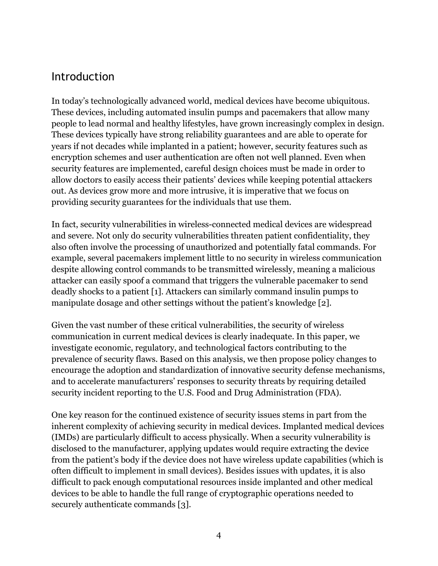### Introduction

In today's technologically advanced world, medical devices have become ubiquitous. These devices, including automated insulin pumps and pacemakers that allow many people to lead normal and healthy lifestyles, have grown increasingly complex in design. These devices typically have strong reliability guarantees and are able to operate for years if not decades while implanted in a patient; however, security features such as encryption schemes and user authentication are often not well planned. Even when security features are implemented, careful design choices must be made in order to allow doctors to easily access their patients' devices while keeping potential attackers out. As devices grow more and more intrusive, it is imperative that we focus on providing security guarantees for the individuals that use them.

In fact, security vulnerabilities in wireless-connected medical devices are widespread and severe. Not only do security vulnerabilities threaten patient confidentiality, they also often involve the processing of unauthorized and potentially fatal commands. For example, several pacemakers implement little to no security in wireless communication despite allowing control commands to be transmitted wirelessly, meaning a malicious attacker can easily spoof a command that triggers the vulnerable pacemaker to send deadly shocks to a patient [1]. Attackers can similarly command insulin pumps to manipulate dosage and other settings without the patient's knowledge [2].

Given the vast number of these critical vulnerabilities, the security of wireless communication in current medical devices is clearly inadequate. In this paper, we investigate economic, regulatory, and technological factors contributing to the prevalence of security flaws. Based on this analysis, we then propose policy changes to encourage the adoption and standardization of innovative security defense mechanisms, and to accelerate manufacturers' responses to security threats by requiring detailed security incident reporting to the U.S. Food and Drug Administration (FDA).

One key reason for the continued existence of security issues stems in part from the inherent complexity of achieving security in medical devices. Implanted medical devices (IMDs) are particularly difficult to access physically. When a security vulnerability is disclosed to the manufacturer, applying updates would require extracting the device from the patient's body if the device does not have wireless update capabilities (which is often difficult to implement in small devices). Besides issues with updates, it is also difficult to pack enough computational resources inside implanted and other medical devices to be able to handle the full range of cryptographic operations needed to securely authenticate commands [3].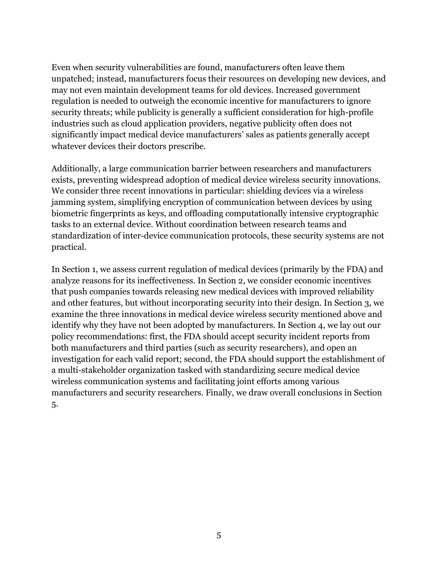Even when security vulnerabilities are found, manufacturers often leave them unpatched; instead, manufacturers focus their resources on developing new devices, and may not even maintain development teams for old devices. Increased government regulation is needed to outweigh the economic incentive for manufacturers to ignore security threats; while publicity is generally a sufficient consideration for high-profile industries such as cloud application providers, negative publicity often does not significantly impact medical device manufacturers' sales as patients generally accept whatever devices their doctors prescribe.

Additionally, a large communication barrier between researchers and manufacturers exists, preventing widespread adoption of medical device wireless security innovations. We consider three recent innovations in particular: shielding devices via a wireless jamming system, simplifying encryption of communication between devices by using biometric fingerprints as keys, and offloading computationally intensive cryptographic tasks to an external device. Without coordination between research teams and standardization of inter-device communication protocols, these security systems are not practical.

In Section 1, we assess current regulation of medical devices (primarily by the FDA) and analyze reasons for its ineffectiveness. In Section 2, we consider economic incentives that push companies towards releasing new medical devices with improved reliability and other features, but without incorporating security into their design. In Section 3, we examine the three innovations in medical device wireless security mentioned above and identify why they have not been adopted by manufacturers. In Section 4, we lay out our policy recommendations: first, the FDA should accept security incident reports from both manufacturers and third parties (such as security researchers), and open an investigation for each valid report; second, the FDA should support the establishment of a multi-stakeholder organization tasked with standardizing secure medical device wireless communication systems and facilitating joint efforts among various manufacturers and security researchers. Finally, we draw overall conclusions in Section 5.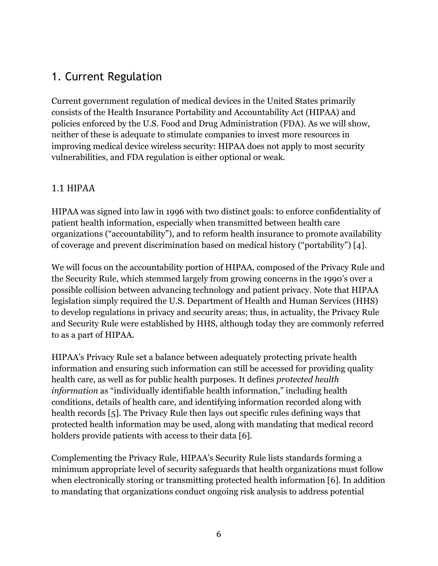## 1. Current Regulation

Current government regulation of medical devices in the United States primarily consists of the Health Insurance Portability and Accountability Act (HIPAA) and policies enforced by the U.S. Food and Drug Administration (FDA). As we will show, neither of these is adequate to stimulate companies to invest more resources in improving medical device wireless security: HIPAA does not apply to most security vulnerabilities, and FDA regulation is either optional or weak.

#### 1.1 HIPAA

HIPAA was signed into law in 1996 with two distinct goals: to enforce confidentiality of patient health information, especially when transmitted between health care organizations ("accountability"), and to reform health insurance to promote availability of coverage and prevent discrimination based on medical history ("portability") [4].

We will focus on the accountability portion of HIPAA, composed of the Privacy Rule and the Security Rule, which stemmed largely from growing concerns in the 1990's over a possible collision between advancing technology and patient privacy. Note that HIPAA legislation simply required the U.S. Department of Health and Human Services (HHS) to develop regulations in privacy and security areas; thus, in actuality, the Privacy Rule and Security Rule were established by HHS, although today they are commonly referred to as a part of HIPAA.

HIPAA's Privacy Rule set a balance between adequately protecting private health information and ensuring such information can still be accessed for providing quality health care, as well as for public health purposes. It defines *protected health information* as "individually identifiable health information," including health conditions, details of health care, and identifying information recorded along with health records [5]. The Privacy Rule then lays out specific rules defining ways that protected health information may be used, along with mandating that medical record holders provide patients with access to their data [6].

Complementing the Privacy Rule, HIPAA's Security Rule lists standards forming a minimum appropriate level of security safeguards that health organizations must follow when electronically storing or transmitting protected health information [6]. In addition to mandating that organizations conduct ongoing risk analysis to address potential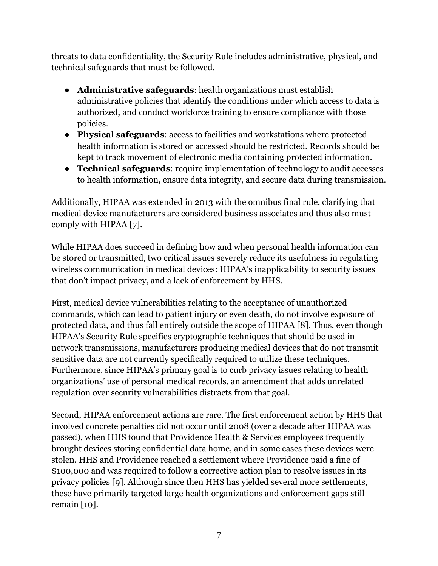threats to data confidentiality, the Security Rule includes administrative, physical, and technical safeguards that must be followed.

- **Administrative safeguards**: health organizations must establish administrative policies that identify the conditions under which access to data is authorized, and conduct workforce training to ensure compliance with those policies.
- **Physical safeguards**: access to facilities and workstations where protected health information is stored or accessed should be restricted. Records should be kept to track movement of electronic media containing protected information.
- **Technical safeguards**: require implementation of technology to audit accesses to health information, ensure data integrity, and secure data during transmission.

Additionally, HIPAA was extended in 2013 with the omnibus final rule, clarifying that medical device manufacturers are considered business associates and thus also must comply with HIPAA [7].

While HIPAA does succeed in defining how and when personal health information can be stored or transmitted, two critical issues severely reduce its usefulness in regulating wireless communication in medical devices: HIPAA's inapplicability to security issues that don't impact privacy, and a lack of enforcement by HHS.

First, medical device vulnerabilities relating to the acceptance of unauthorized commands, which can lead to patient injury or even death, do not involve exposure of protected data, and thus fall entirely outside the scope of HIPAA [8]. Thus, even though HIPAA's Security Rule specifies cryptographic techniques that should be used in network transmissions, manufacturers producing medical devices that do not transmit sensitive data are not currently specifically required to utilize these techniques. Furthermore, since HIPAA's primary goal is to curb privacy issues relating to health organizations' use of personal medical records, an amendment that adds unrelated regulation over security vulnerabilities distracts from that goal.

Second, HIPAA enforcement actions are rare. The first enforcement action by HHS that involved concrete penalties did not occur until 2008 (over a decade after HIPAA was passed), when HHS found that Providence Health & Services employees frequently brought devices storing confidential data home, and in some cases these devices were stolen. HHS and Providence reached a settlement where Providence paid a fine of \$100,000 and was required to follow a corrective action plan to resolve issues in its privacy policies [9]. Although since then HHS has yielded several more settlements, these have primarily targeted large health organizations and enforcement gaps still remain [10].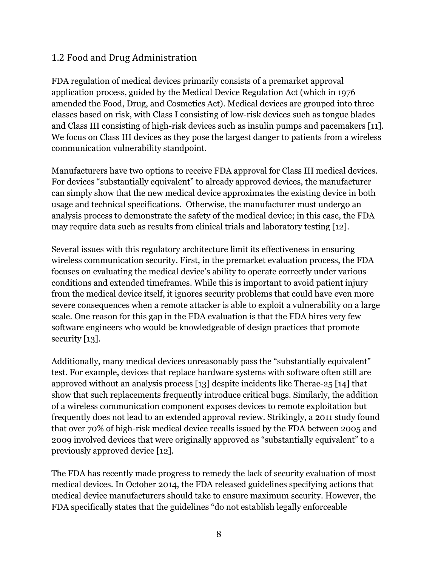#### 1.2 Food and Drug Administration

FDA regulation of medical devices primarily consists of a premarket approval application process, guided by the Medical Device Regulation Act (which in 1976 amended the Food, Drug, and Cosmetics Act). Medical devices are grouped into three classes based on risk, with Class I consisting of low-risk devices such as tongue blades and Class III consisting of high-risk devices such as insulin pumps and pacemakers [11]. We focus on Class III devices as they pose the largest danger to patients from a wireless communication vulnerability standpoint.

Manufacturers have two options to receive FDA approval for Class III medical devices. For devices "substantially equivalent" to already approved devices, the manufacturer can simply show that the new medical device approximates the existing device in both usage and technical specifications. Otherwise, the manufacturer must undergo an analysis process to demonstrate the safety of the medical device; in this case, the FDA may require data such as results from clinical trials and laboratory testing [12].

Several issues with this regulatory architecture limit its effectiveness in ensuring wireless communication security. First, in the premarket evaluation process, the FDA focuses on evaluating the medical device's ability to operate correctly under various conditions and extended timeframes. While this is important to avoid patient injury from the medical device itself, it ignores security problems that could have even more severe consequences when a remote attacker is able to exploit a vulnerability on a large scale. One reason for this gap in the FDA evaluation is that the FDA hires very few software engineers who would be knowledgeable of design practices that promote security [13].

Additionally, many medical devices unreasonably pass the "substantially equivalent" test. For example, devices that replace hardware systems with software often still are approved without an analysis process [13] despite incidents like Therac-25 [14] that show that such replacements frequently introduce critical bugs. Similarly, the addition of a wireless communication component exposes devices to remote exploitation but frequently does not lead to an extended approval review. Strikingly, a 2011 study found that over 70% of high-risk medical device recalls issued by the FDA between 2005 and 2009 involved devices that were originally approved as "substantially equivalent" to a previously approved device [12].

The FDA has recently made progress to remedy the lack of security evaluation of most medical devices. In October 2014, the FDA released guidelines specifying actions that medical device manufacturers should take to ensure maximum security. However, the FDA specifically states that the guidelines "do not establish legally enforceable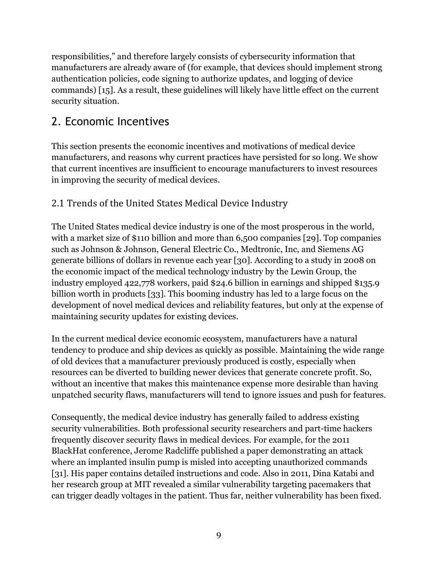responsibilities," and therefore largely consists of cybersecurity information that manufacturers are already aware of (for example, that devices should implement strong authentication policies, code signing to authorize updates, and logging of device commands) [15]. As a result, these guidelines will likely have little effect on the current security situation.

# 2. Economic Incentives

This section presents the economic incentives and motivations of medical device manufacturers, and reasons why current practices have persisted for so long. We show that current incentives are insufficient to encourage manufacturers to invest resources in improving the security of medical devices.

### 2.1 Trends of the United States Medical Device Industry

The United States medical device industry is one of the most prosperous in the world, with a market size of \$110 billion and more than 6,500 companies [29]. Top companies such as Johnson & Johnson, General Electric Co., Medtronic, Inc, and Siemens AG generate billions of dollars in revenue each year [30]. According to a study in 2008 on the economic impact of the medical technology industry by the Lewin Group, the industry employed 422,778 workers, paid \$24.6 billion in earnings and shipped \$135.9 billion worth in products [33]. This booming industry has led to a large focus on the development of novel medical devices and reliability features, but only at the expense of maintaining security updates for existing devices.

In the current medical device economic ecosystem, manufacturers have a natural tendency to produce and ship devices as quickly as possible. Maintaining the wide range of old devices that a manufacturer previously produced is costly, especially when resources can be diverted to building newer devices that generate concrete profit. So, without an incentive that makes this maintenance expense more desirable than having unpatched security flaws, manufacturers will tend to ignore issues and push for features.

Consequently, the medical device industry has generally failed to address existing security vulnerabilities. Both professional security researchers and part-time hackers frequently discover security flaws in medical devices. For example, for the 2011 BlackHat conference, Jerome Radcliffe published a paper demonstrating an attack where an implanted insulin pump is misled into accepting unauthorized commands [31]. His paper contains detailed instructions and code. Also in 2011, Dina Katabi and her research group at MIT revealed a similar vulnerability targeting pacemakers that can trigger deadly voltages in the patient. Thus far, neither vulnerability has been fixed.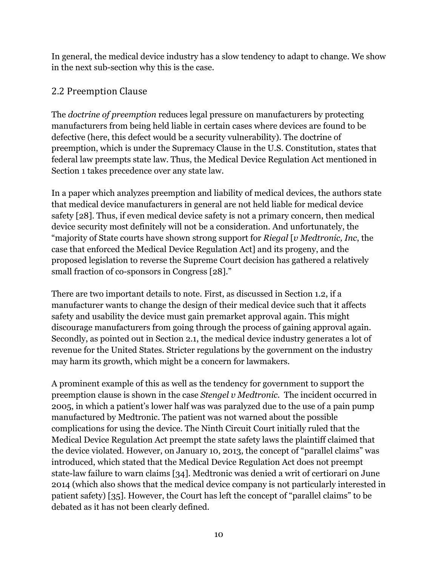In general, the medical device industry has a slow tendency to adapt to change. We show in the next sub-section why this is the case.

### 2.2 Preemption Clause

The *doctrine of preemption* reduces legal pressure on manufacturers by protecting manufacturers from being held liable in certain cases where devices are found to be defective (here, this defect would be a security vulnerability). The doctrine of preemption, which is under the Supremacy Clause in the U.S. Constitution, states that federal law preempts state law. Thus, the Medical Device Regulation Act mentioned in Section 1 takes precedence over any state law.

In a paper which analyzes preemption and liability of medical devices, the authors state that medical device manufacturers in general are not held liable for medical device safety [28]. Thus, if even medical device safety is not a primary concern, then medical device security most definitely will not be a consideration. And unfortunately, the "majority of State courts have shown strong support for *Riegal* [*v Medtronic, Inc*, the case that enforced the Medical Device Regulation Act] and its progeny, and the proposed legislation to reverse the Supreme Court decision has gathered a relatively small fraction of co-sponsors in Congress [28]."

There are two important details to note. First, as discussed in Section 1.2, if a manufacturer wants to change the design of their medical device such that it affects safety and usability the device must gain premarket approval again. This might discourage manufacturers from going through the process of gaining approval again. Secondly, as pointed out in Section 2.1, the medical device industry generates a lot of revenue for the United States. Stricter regulations by the government on the industry may harm its growth, which might be a concern for lawmakers.

A prominent example of this as well as the tendency for government to support the preemption clause is shown in the case *Stengel v Medtronic.* The incident occurred in 2005, in which a patient's lower half was was paralyzed due to the use of a pain pump manufactured by Medtronic. The patient was not warned about the possible complications for using the device. The Ninth Circuit Court initially ruled that the Medical Device Regulation Act preempt the state safety laws the plaintiff claimed that the device violated. However, on January 10, 2013, the concept of "parallel claims" was introduced, which stated that the Medical Device Regulation Act does not preempt state-law failure to warn claims [34]. Medtronic was denied a writ of certiorari on June 2014 (which also shows that the medical device company is not particularly interested in patient safety) [35]. However, the Court has left the concept of "parallel claims" to be debated as it has not been clearly defined.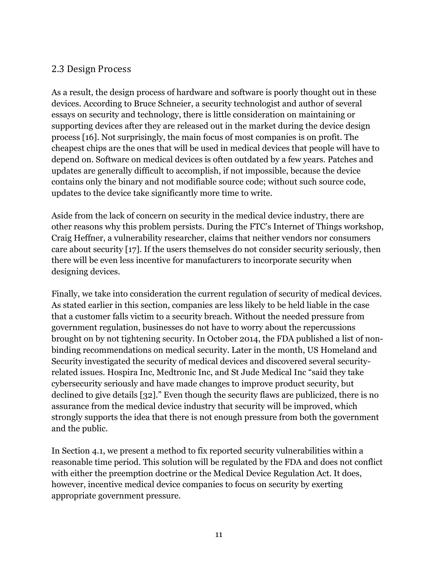#### 2.3 Design Process

As a result, the design process of hardware and software is poorly thought out in these devices. According to Bruce Schneier, a security technologist and author of several essays on security and technology, there is little consideration on maintaining or supporting devices after they are released out in the market during the device design process [16]. Not surprisingly, the main focus of most companies is on profit. The cheapest chips are the ones that will be used in medical devices that people will have to depend on. Software on medical devices is often outdated by a few years. Patches and updates are generally difficult to accomplish, if not impossible, because the device contains only the binary and not modifiable source code; without such source code, updates to the device take significantly more time to write.

Aside from the lack of concern on security in the medical device industry, there are other reasons why this problem persists. During the FTC's Internet of Things workshop, Craig Heffner, a vulnerability researcher, claims that neither vendors nor consumers care about security [17]. If the users themselves do not consider security seriously, then there will be even less incentive for manufacturers to incorporate security when designing devices.

Finally, we take into consideration the current regulation of security of medical devices. As stated earlier in this section, companies are less likely to be held liable in the case that a customer falls victim to a security breach. Without the needed pressure from government regulation, businesses do not have to worry about the repercussions brought on by not tightening security. In October 2014, the FDA published a list of nonbinding recommendations on medical security. Later in the month, US Homeland and Security investigated the security of medical devices and discovered several securityrelated issues. Hospira Inc, Medtronic Inc, and St Jude Medical Inc "said they take cybersecurity seriously and have made changes to improve product security, but declined to give details [32]." Even though the security flaws are publicized, there is no assurance from the medical device industry that security will be improved, which strongly supports the idea that there is not enough pressure from both the government and the public.

In Section 4.1, we present a method to fix reported security vulnerabilities within a reasonable time period. This solution will be regulated by the FDA and does not conflict with either the preemption doctrine or the Medical Device Regulation Act. It does, however, incentive medical device companies to focus on security by exerting appropriate government pressure.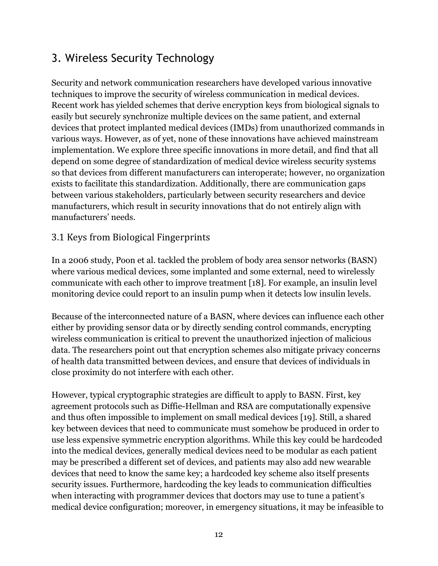# 3. Wireless Security Technology

Security and network communication researchers have developed various innovative techniques to improve the security of wireless communication in medical devices. Recent work has yielded schemes that derive encryption keys from biological signals to easily but securely synchronize multiple devices on the same patient, and external devices that protect implanted medical devices (IMDs) from unauthorized commands in various ways. However, as of yet, none of these innovations have achieved mainstream implementation. We explore three specific innovations in more detail, and find that all depend on some degree of standardization of medical device wireless security systems so that devices from different manufacturers can interoperate; however, no organization exists to facilitate this standardization. Additionally, there are communication gaps between various stakeholders, particularly between security researchers and device manufacturers, which result in security innovations that do not entirely align with manufacturers' needs.

#### 3.1 Keys from Biological Fingerprints

In a 2006 study, Poon et al. tackled the problem of body area sensor networks (BASN) where various medical devices, some implanted and some external, need to wirelessly communicate with each other to improve treatment [18]. For example, an insulin level monitoring device could report to an insulin pump when it detects low insulin levels.

Because of the interconnected nature of a BASN, where devices can influence each other either by providing sensor data or by directly sending control commands, encrypting wireless communication is critical to prevent the unauthorized injection of malicious data. The researchers point out that encryption schemes also mitigate privacy concerns of health data transmitted between devices, and ensure that devices of individuals in close proximity do not interfere with each other.

However, typical cryptographic strategies are difficult to apply to BASN. First, key agreement protocols such as Diffie-Hellman and RSA are computationally expensive and thus often impossible to implement on small medical devices [19]. Still, a shared key between devices that need to communicate must somehow be produced in order to use less expensive symmetric encryption algorithms. While this key could be hardcoded into the medical devices, generally medical devices need to be modular as each patient may be prescribed a different set of devices, and patients may also add new wearable devices that need to know the same key; a hardcoded key scheme also itself presents security issues. Furthermore, hardcoding the key leads to communication difficulties when interacting with programmer devices that doctors may use to tune a patient's medical device configuration; moreover, in emergency situations, it may be infeasible to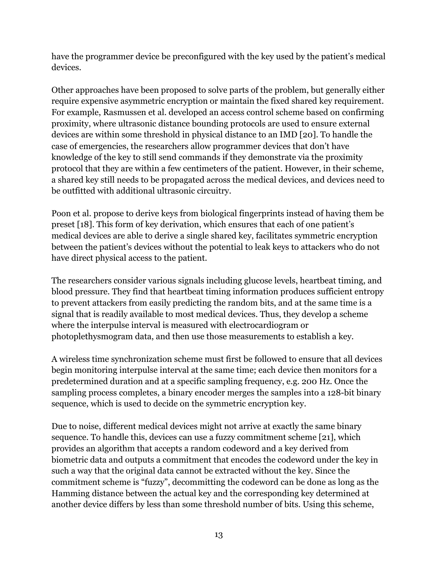have the programmer device be preconfigured with the key used by the patient's medical devices.

Other approaches have been proposed to solve parts of the problem, but generally either require expensive asymmetric encryption or maintain the fixed shared key requirement. For example, Rasmussen et al. developed an access control scheme based on confirming proximity, where ultrasonic distance bounding protocols are used to ensure external devices are within some threshold in physical distance to an IMD [20]. To handle the case of emergencies, the researchers allow programmer devices that don't have knowledge of the key to still send commands if they demonstrate via the proximity protocol that they are within a few centimeters of the patient. However, in their scheme, a shared key still needs to be propagated across the medical devices, and devices need to be outfitted with additional ultrasonic circuitry.

Poon et al. propose to derive keys from biological fingerprints instead of having them be preset [18]. This form of key derivation, which ensures that each of one patient's medical devices are able to derive a single shared key, facilitates symmetric encryption between the patient's devices without the potential to leak keys to attackers who do not have direct physical access to the patient.

The researchers consider various signals including glucose levels, heartbeat timing, and blood pressure. They find that heartbeat timing information produces sufficient entropy to prevent attackers from easily predicting the random bits, and at the same time is a signal that is readily available to most medical devices. Thus, they develop a scheme where the interpulse interval is measured with electrocardiogram or photoplethysmogram data, and then use those measurements to establish a key.

A wireless time synchronization scheme must first be followed to ensure that all devices begin monitoring interpulse interval at the same time; each device then monitors for a predetermined duration and at a specific sampling frequency, e.g. 200 Hz. Once the sampling process completes, a binary encoder merges the samples into a 128-bit binary sequence, which is used to decide on the symmetric encryption key.

Due to noise, different medical devices might not arrive at exactly the same binary sequence. To handle this, devices can use a fuzzy commitment scheme [21], which provides an algorithm that accepts a random codeword and a key derived from biometric data and outputs a commitment that encodes the codeword under the key in such a way that the original data cannot be extracted without the key. Since the commitment scheme is "fuzzy", decommitting the codeword can be done as long as the Hamming distance between the actual key and the corresponding key determined at another device differs by less than some threshold number of bits. Using this scheme,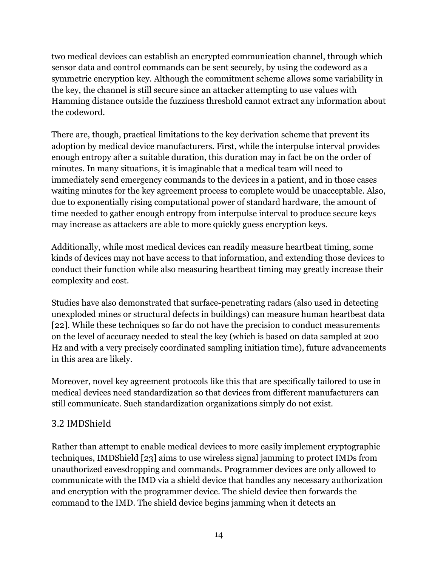two medical devices can establish an encrypted communication channel, through which sensor data and control commands can be sent securely, by using the codeword as a symmetric encryption key. Although the commitment scheme allows some variability in the key, the channel is still secure since an attacker attempting to use values with Hamming distance outside the fuzziness threshold cannot extract any information about the codeword.

There are, though, practical limitations to the key derivation scheme that prevent its adoption by medical device manufacturers. First, while the interpulse interval provides enough entropy after a suitable duration, this duration may in fact be on the order of minutes. In many situations, it is imaginable that a medical team will need to immediately send emergency commands to the devices in a patient, and in those cases waiting minutes for the key agreement process to complete would be unacceptable. Also, due to exponentially rising computational power of standard hardware, the amount of time needed to gather enough entropy from interpulse interval to produce secure keys may increase as attackers are able to more quickly guess encryption keys.

Additionally, while most medical devices can readily measure heartbeat timing, some kinds of devices may not have access to that information, and extending those devices to conduct their function while also measuring heartbeat timing may greatly increase their complexity and cost.

Studies have also demonstrated that surface-penetrating radars (also used in detecting unexploded mines or structural defects in buildings) can measure human heartbeat data [22]. While these techniques so far do not have the precision to conduct measurements on the level of accuracy needed to steal the key (which is based on data sampled at 200 Hz and with a very precisely coordinated sampling initiation time), future advancements in this area are likely.

Moreover, novel key agreement protocols like this that are specifically tailored to use in medical devices need standardization so that devices from different manufacturers can still communicate. Such standardization organizations simply do not exist.

#### 3.2 IMDShield

Rather than attempt to enable medical devices to more easily implement cryptographic techniques, IMDShield [23] aims to use wireless signal jamming to protect IMDs from unauthorized eavesdropping and commands. Programmer devices are only allowed to communicate with the IMD via a shield device that handles any necessary authorization and encryption with the programmer device. The shield device then forwards the command to the IMD. The shield device begins jamming when it detects an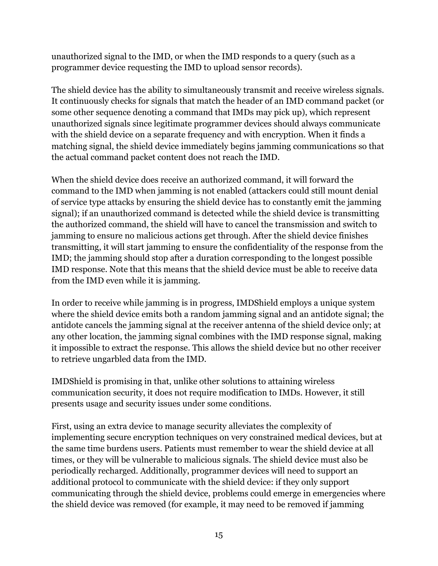unauthorized signal to the IMD, or when the IMD responds to a query (such as a programmer device requesting the IMD to upload sensor records).

The shield device has the ability to simultaneously transmit and receive wireless signals. It continuously checks for signals that match the header of an IMD command packet (or some other sequence denoting a command that IMDs may pick up), which represent unauthorized signals since legitimate programmer devices should always communicate with the shield device on a separate frequency and with encryption. When it finds a matching signal, the shield device immediately begins jamming communications so that the actual command packet content does not reach the IMD.

When the shield device does receive an authorized command, it will forward the command to the IMD when jamming is not enabled (attackers could still mount denial of service type attacks by ensuring the shield device has to constantly emit the jamming signal); if an unauthorized command is detected while the shield device is transmitting the authorized command, the shield will have to cancel the transmission and switch to jamming to ensure no malicious actions get through. After the shield device finishes transmitting, it will start jamming to ensure the confidentiality of the response from the IMD; the jamming should stop after a duration corresponding to the longest possible IMD response. Note that this means that the shield device must be able to receive data from the IMD even while it is jamming.

In order to receive while jamming is in progress, IMDShield employs a unique system where the shield device emits both a random jamming signal and an antidote signal; the antidote cancels the jamming signal at the receiver antenna of the shield device only; at any other location, the jamming signal combines with the IMD response signal, making it impossible to extract the response. This allows the shield device but no other receiver to retrieve ungarbled data from the IMD.

IMDShield is promising in that, unlike other solutions to attaining wireless communication security, it does not require modification to IMDs. However, it still presents usage and security issues under some conditions.

First, using an extra device to manage security alleviates the complexity of implementing secure encryption techniques on very constrained medical devices, but at the same time burdens users. Patients must remember to wear the shield device at all times, or they will be vulnerable to malicious signals. The shield device must also be periodically recharged. Additionally, programmer devices will need to support an additional protocol to communicate with the shield device: if they only support communicating through the shield device, problems could emerge in emergencies where the shield device was removed (for example, it may need to be removed if jamming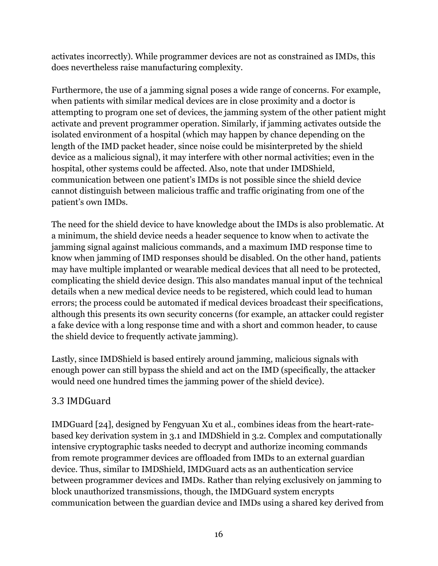activates incorrectly). While programmer devices are not as constrained as IMDs, this does nevertheless raise manufacturing complexity.

Furthermore, the use of a jamming signal poses a wide range of concerns. For example, when patients with similar medical devices are in close proximity and a doctor is attempting to program one set of devices, the jamming system of the other patient might activate and prevent programmer operation. Similarly, if jamming activates outside the isolated environment of a hospital (which may happen by chance depending on the length of the IMD packet header, since noise could be misinterpreted by the shield device as a malicious signal), it may interfere with other normal activities; even in the hospital, other systems could be affected. Also, note that under IMDShield, communication between one patient's IMDs is not possible since the shield device cannot distinguish between malicious traffic and traffic originating from one of the patient's own IMDs.

The need for the shield device to have knowledge about the IMDs is also problematic. At a minimum, the shield device needs a header sequence to know when to activate the jamming signal against malicious commands, and a maximum IMD response time to know when jamming of IMD responses should be disabled. On the other hand, patients may have multiple implanted or wearable medical devices that all need to be protected, complicating the shield device design. This also mandates manual input of the technical details when a new medical device needs to be registered, which could lead to human errors; the process could be automated if medical devices broadcast their specifications, although this presents its own security concerns (for example, an attacker could register a fake device with a long response time and with a short and common header, to cause the shield device to frequently activate jamming).

Lastly, since IMDShield is based entirely around jamming, malicious signals with enough power can still bypass the shield and act on the IMD (specifically, the attacker would need one hundred times the jamming power of the shield device).

### 3.3 IMDGuard

IMDGuard [24], designed by Fengyuan Xu et al., combines ideas from the heart-ratebased key derivation system in 3.1 and IMDShield in 3.2. Complex and computationally intensive cryptographic tasks needed to decrypt and authorize incoming commands from remote programmer devices are offloaded from IMDs to an external guardian device. Thus, similar to IMDShield, IMDGuard acts as an authentication service between programmer devices and IMDs. Rather than relying exclusively on jamming to block unauthorized transmissions, though, the IMDGuard system encrypts communication between the guardian device and IMDs using a shared key derived from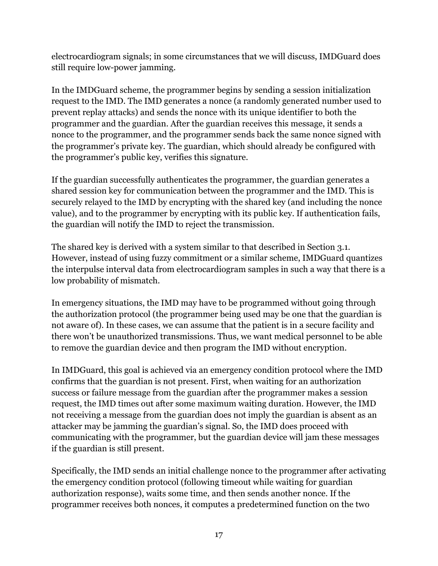electrocardiogram signals; in some circumstances that we will discuss, IMDGuard does still require low-power jamming.

In the IMDGuard scheme, the programmer begins by sending a session initialization request to the IMD. The IMD generates a nonce (a randomly generated number used to prevent replay attacks) and sends the nonce with its unique identifier to both the programmer and the guardian. After the guardian receives this message, it sends a nonce to the programmer, and the programmer sends back the same nonce signed with the programmer's private key. The guardian, which should already be configured with the programmer's public key, verifies this signature.

If the guardian successfully authenticates the programmer, the guardian generates a shared session key for communication between the programmer and the IMD. This is securely relayed to the IMD by encrypting with the shared key (and including the nonce value), and to the programmer by encrypting with its public key. If authentication fails, the guardian will notify the IMD to reject the transmission.

The shared key is derived with a system similar to that described in Section 3.1. However, instead of using fuzzy commitment or a similar scheme, IMDGuard quantizes the interpulse interval data from electrocardiogram samples in such a way that there is a low probability of mismatch.

In emergency situations, the IMD may have to be programmed without going through the authorization protocol (the programmer being used may be one that the guardian is not aware of). In these cases, we can assume that the patient is in a secure facility and there won't be unauthorized transmissions. Thus, we want medical personnel to be able to remove the guardian device and then program the IMD without encryption.

In IMDGuard, this goal is achieved via an emergency condition protocol where the IMD confirms that the guardian is not present. First, when waiting for an authorization success or failure message from the guardian after the programmer makes a session request, the IMD times out after some maximum waiting duration. However, the IMD not receiving a message from the guardian does not imply the guardian is absent as an attacker may be jamming the guardian's signal. So, the IMD does proceed with communicating with the programmer, but the guardian device will jam these messages if the guardian is still present.

Specifically, the IMD sends an initial challenge nonce to the programmer after activating the emergency condition protocol (following timeout while waiting for guardian authorization response), waits some time, and then sends another nonce. If the programmer receives both nonces, it computes a predetermined function on the two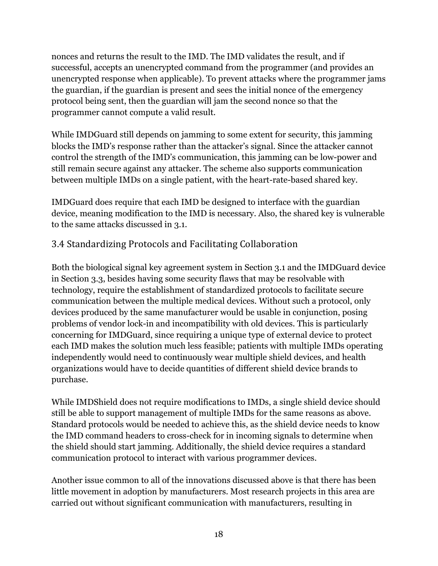nonces and returns the result to the IMD. The IMD validates the result, and if successful, accepts an unencrypted command from the programmer (and provides an unencrypted response when applicable). To prevent attacks where the programmer jams the guardian, if the guardian is present and sees the initial nonce of the emergency protocol being sent, then the guardian will jam the second nonce so that the programmer cannot compute a valid result.

While IMDGuard still depends on jamming to some extent for security, this jamming blocks the IMD's response rather than the attacker's signal. Since the attacker cannot control the strength of the IMD's communication, this jamming can be low-power and still remain secure against any attacker. The scheme also supports communication between multiple IMDs on a single patient, with the heart-rate-based shared key.

IMDGuard does require that each IMD be designed to interface with the guardian device, meaning modification to the IMD is necessary. Also, the shared key is vulnerable to the same attacks discussed in 3.1.

### 3.4 Standardizing Protocols and Facilitating Collaboration

Both the biological signal key agreement system in Section 3.1 and the IMDGuard device in Section 3.3, besides having some security flaws that may be resolvable with technology, require the establishment of standardized protocols to facilitate secure communication between the multiple medical devices. Without such a protocol, only devices produced by the same manufacturer would be usable in conjunction, posing problems of vendor lock-in and incompatibility with old devices. This is particularly concerning for IMDGuard, since requiring a unique type of external device to protect each IMD makes the solution much less feasible; patients with multiple IMDs operating independently would need to continuously wear multiple shield devices, and health organizations would have to decide quantities of different shield device brands to purchase.

While IMDShield does not require modifications to IMDs, a single shield device should still be able to support management of multiple IMDs for the same reasons as above. Standard protocols would be needed to achieve this, as the shield device needs to know the IMD command headers to cross-check for in incoming signals to determine when the shield should start jamming. Additionally, the shield device requires a standard communication protocol to interact with various programmer devices.

Another issue common to all of the innovations discussed above is that there has been little movement in adoption by manufacturers. Most research projects in this area are carried out without significant communication with manufacturers, resulting in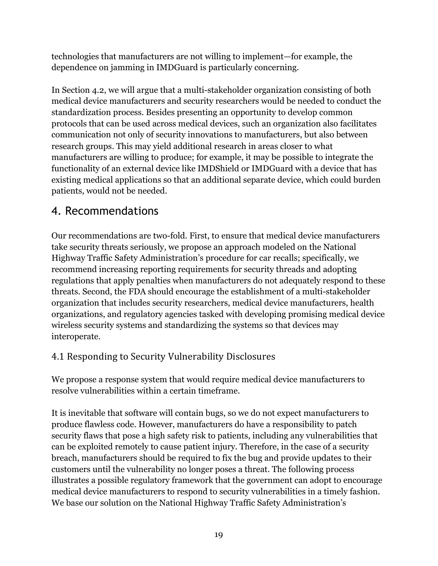technologies that manufacturers are not willing to implement—for example, the dependence on jamming in IMDGuard is particularly concerning.

In Section 4.2, we will argue that a multi-stakeholder organization consisting of both medical device manufacturers and security researchers would be needed to conduct the standardization process. Besides presenting an opportunity to develop common protocols that can be used across medical devices, such an organization also facilitates communication not only of security innovations to manufacturers, but also between research groups. This may yield additional research in areas closer to what manufacturers are willing to produce; for example, it may be possible to integrate the functionality of an external device like IMDShield or IMDGuard with a device that has existing medical applications so that an additional separate device, which could burden patients, would not be needed.

### 4. Recommendations

Our recommendations are two-fold. First, to ensure that medical device manufacturers take security threats seriously, we propose an approach modeled on the National Highway Traffic Safety Administration's procedure for car recalls; specifically, we recommend increasing reporting requirements for security threads and adopting regulations that apply penalties when manufacturers do not adequately respond to these threats. Second, the FDA should encourage the establishment of a multi-stakeholder organization that includes security researchers, medical device manufacturers, health organizations, and regulatory agencies tasked with developing promising medical device wireless security systems and standardizing the systems so that devices may interoperate.

### 4.1 Responding to Security Vulnerability Disclosures

We propose a response system that would require medical device manufacturers to resolve vulnerabilities within a certain timeframe.

It is inevitable that software will contain bugs, so we do not expect manufacturers to produce flawless code. However, manufacturers do have a responsibility to patch security flaws that pose a high safety risk to patients, including any vulnerabilities that can be exploited remotely to cause patient injury. Therefore, in the case of a security breach, manufacturers should be required to fix the bug and provide updates to their customers until the vulnerability no longer poses a threat. The following process illustrates a possible regulatory framework that the government can adopt to encourage medical device manufacturers to respond to security vulnerabilities in a timely fashion. We base our solution on the National Highway Traffic Safety Administration's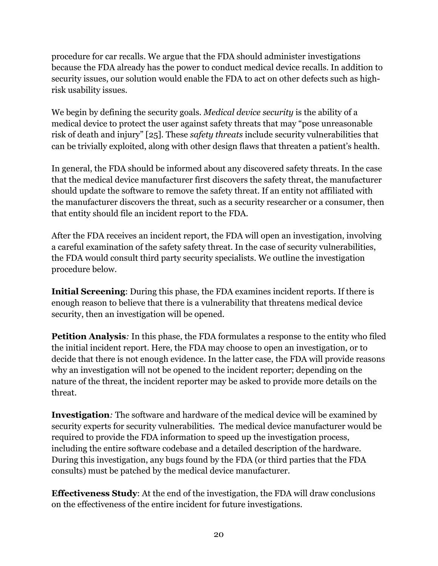procedure for car recalls. We argue that the FDA should administer investigations because the FDA already has the power to conduct medical device recalls. In addition to security issues, our solution would enable the FDA to act on other defects such as highrisk usability issues.

We begin by defining the security goals. *Medical device security* is the ability of a medical device to protect the user against safety threats that may "pose unreasonable risk of death and injury" [25]. These *safety threats* include security vulnerabilities that can be trivially exploited, along with other design flaws that threaten a patient's health.

In general, the FDA should be informed about any discovered safety threats. In the case that the medical device manufacturer first discovers the safety threat, the manufacturer should update the software to remove the safety threat. If an entity not affiliated with the manufacturer discovers the threat, such as a security researcher or a consumer, then that entity should file an incident report to the FDA.

After the FDA receives an incident report, the FDA will open an investigation, involving a careful examination of the safety safety threat. In the case of security vulnerabilities, the FDA would consult third party security specialists. We outline the investigation procedure below.

**Initial Screening**: During this phase, the FDA examines incident reports. If there is enough reason to believe that there is a vulnerability that threatens medical device security, then an investigation will be opened.

**Petition Analysis***:* In this phase, the FDA formulates a response to the entity who filed the initial incident report. Here, the FDA may choose to open an investigation, or to decide that there is not enough evidence. In the latter case, the FDA will provide reasons why an investigation will not be opened to the incident reporter; depending on the nature of the threat, the incident reporter may be asked to provide more details on the threat.

**Investigation***:* The software and hardware of the medical device will be examined by security experts for security vulnerabilities. The medical device manufacturer would be required to provide the FDA information to speed up the investigation process, including the entire software codebase and a detailed description of the hardware. During this investigation, any bugs found by the FDA (or third parties that the FDA consults) must be patched by the medical device manufacturer.

**Effectiveness Study**: At the end of the investigation, the FDA will draw conclusions on the effectiveness of the entire incident for future investigations.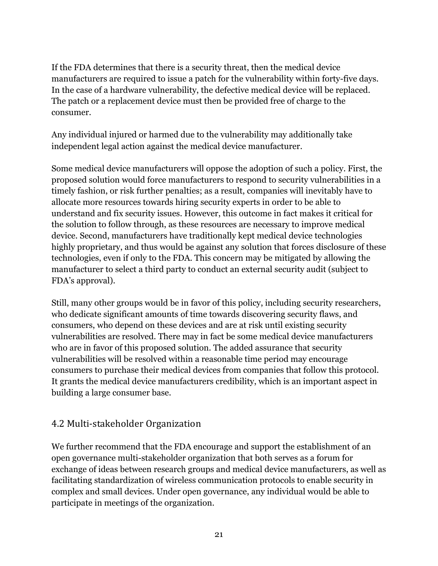If the FDA determines that there is a security threat, then the medical device manufacturers are required to issue a patch for the vulnerability within forty-five days. In the case of a hardware vulnerability, the defective medical device will be replaced. The patch or a replacement device must then be provided free of charge to the consumer.

Any individual injured or harmed due to the vulnerability may additionally take independent legal action against the medical device manufacturer.

Some medical device manufacturers will oppose the adoption of such a policy. First, the proposed solution would force manufacturers to respond to security vulnerabilities in a timely fashion, or risk further penalties; as a result, companies will inevitably have to allocate more resources towards hiring security experts in order to be able to understand and fix security issues. However, this outcome in fact makes it critical for the solution to follow through, as these resources are necessary to improve medical device. Second, manufacturers have traditionally kept medical device technologies highly proprietary, and thus would be against any solution that forces disclosure of these technologies, even if only to the FDA. This concern may be mitigated by allowing the manufacturer to select a third party to conduct an external security audit (subject to FDA's approval).

Still, many other groups would be in favor of this policy, including security researchers, who dedicate significant amounts of time towards discovering security flaws, and consumers, who depend on these devices and are at risk until existing security vulnerabilities are resolved. There may in fact be some medical device manufacturers who are in favor of this proposed solution. The added assurance that security vulnerabilities will be resolved within a reasonable time period may encourage consumers to purchase their medical devices from companies that follow this protocol. It grants the medical device manufacturers credibility, which is an important aspect in building a large consumer base.

#### 4.2 Multi-stakeholder Organization

We further recommend that the FDA encourage and support the establishment of an open governance multi-stakeholder organization that both serves as a forum for exchange of ideas between research groups and medical device manufacturers, as well as facilitating standardization of wireless communication protocols to enable security in complex and small devices. Under open governance, any individual would be able to participate in meetings of the organization.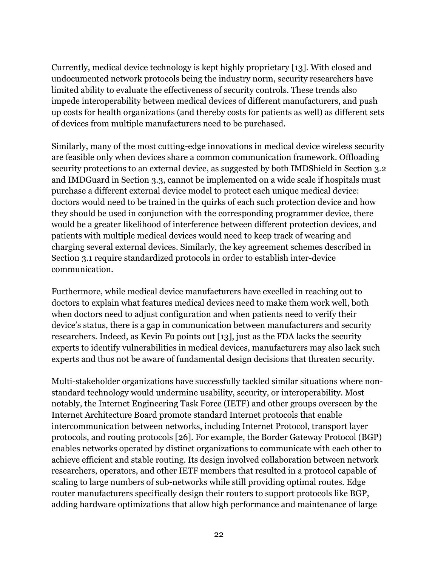Currently, medical device technology is kept highly proprietary [13]. With closed and undocumented network protocols being the industry norm, security researchers have limited ability to evaluate the effectiveness of security controls. These trends also impede interoperability between medical devices of different manufacturers, and push up costs for health organizations (and thereby costs for patients as well) as different sets of devices from multiple manufacturers need to be purchased.

Similarly, many of the most cutting-edge innovations in medical device wireless security are feasible only when devices share a common communication framework. Offloading security protections to an external device, as suggested by both IMDShield in Section 3.2 and IMDGuard in Section 3.3, cannot be implemented on a wide scale if hospitals must purchase a different external device model to protect each unique medical device: doctors would need to be trained in the quirks of each such protection device and how they should be used in conjunction with the corresponding programmer device, there would be a greater likelihood of interference between different protection devices, and patients with multiple medical devices would need to keep track of wearing and charging several external devices. Similarly, the key agreement schemes described in Section 3.1 require standardized protocols in order to establish inter-device communication.

Furthermore, while medical device manufacturers have excelled in reaching out to doctors to explain what features medical devices need to make them work well, both when doctors need to adjust configuration and when patients need to verify their device's status, there is a gap in communication between manufacturers and security researchers. Indeed, as Kevin Fu points out [13], just as the FDA lacks the security experts to identify vulnerabilities in medical devices, manufacturers may also lack such experts and thus not be aware of fundamental design decisions that threaten security.

Multi-stakeholder organizations have successfully tackled similar situations where nonstandard technology would undermine usability, security, or interoperability. Most notably, the Internet Engineering Task Force (IETF) and other groups overseen by the Internet Architecture Board promote standard Internet protocols that enable intercommunication between networks, including Internet Protocol, transport layer protocols, and routing protocols [26]. For example, the Border Gateway Protocol (BGP) enables networks operated by distinct organizations to communicate with each other to achieve efficient and stable routing. Its design involved collaboration between network researchers, operators, and other IETF members that resulted in a protocol capable of scaling to large numbers of sub-networks while still providing optimal routes. Edge router manufacturers specifically design their routers to support protocols like BGP, adding hardware optimizations that allow high performance and maintenance of large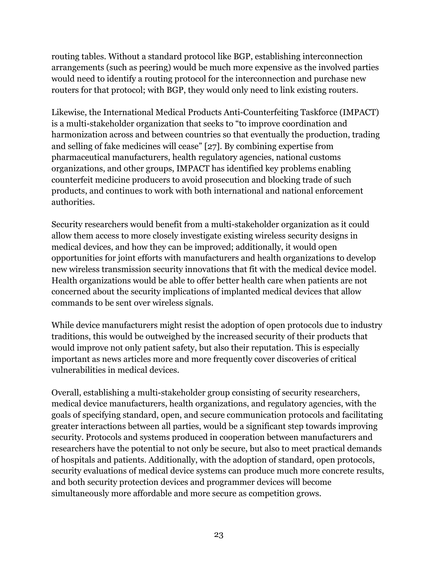routing tables. Without a standard protocol like BGP, establishing interconnection arrangements (such as peering) would be much more expensive as the involved parties would need to identify a routing protocol for the interconnection and purchase new routers for that protocol; with BGP, they would only need to link existing routers.

Likewise, the International Medical Products Anti-Counterfeiting Taskforce (IMPACT) is a multi-stakeholder organization that seeks to "to improve coordination and harmonization across and between countries so that eventually the production, trading and selling of fake medicines will cease" [27]. By combining expertise from pharmaceutical manufacturers, health regulatory agencies, national customs organizations, and other groups, IMPACT has identified key problems enabling counterfeit medicine producers to avoid prosecution and blocking trade of such products, and continues to work with both international and national enforcement authorities.

Security researchers would benefit from a multi-stakeholder organization as it could allow them access to more closely investigate existing wireless security designs in medical devices, and how they can be improved; additionally, it would open opportunities for joint efforts with manufacturers and health organizations to develop new wireless transmission security innovations that fit with the medical device model. Health organizations would be able to offer better health care when patients are not concerned about the security implications of implanted medical devices that allow commands to be sent over wireless signals.

While device manufacturers might resist the adoption of open protocols due to industry traditions, this would be outweighed by the increased security of their products that would improve not only patient safety, but also their reputation. This is especially important as news articles more and more frequently cover discoveries of critical vulnerabilities in medical devices.

Overall, establishing a multi-stakeholder group consisting of security researchers, medical device manufacturers, health organizations, and regulatory agencies, with the goals of specifying standard, open, and secure communication protocols and facilitating greater interactions between all parties, would be a significant step towards improving security. Protocols and systems produced in cooperation between manufacturers and researchers have the potential to not only be secure, but also to meet practical demands of hospitals and patients. Additionally, with the adoption of standard, open protocols, security evaluations of medical device systems can produce much more concrete results, and both security protection devices and programmer devices will become simultaneously more affordable and more secure as competition grows.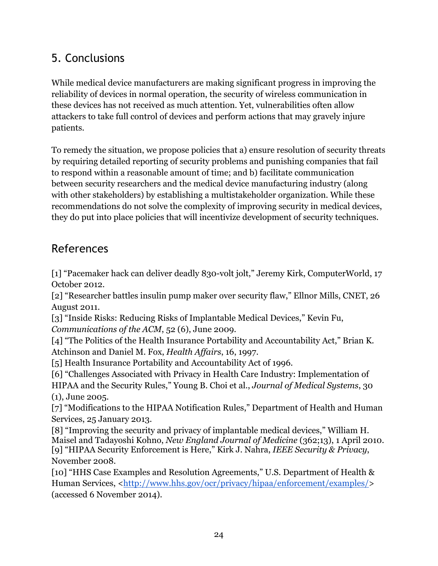# 5. Conclusions

While medical device manufacturers are making significant progress in improving the reliability of devices in normal operation, the security of wireless communication in these devices has not received as much attention. Yet, vulnerabilities often allow attackers to take full control of devices and perform actions that may gravely injure patients.

To remedy the situation, we propose policies that a) ensure resolution of security threats by requiring detailed reporting of security problems and punishing companies that fail to respond within a reasonable amount of time; and b) facilitate communication between security researchers and the medical device manufacturing industry (along with other stakeholders) by establishing a multistakeholder organization. While these recommendations do not solve the complexity of improving security in medical devices, they do put into place policies that will incentivize development of security techniques.

### References

[1] "Pacemaker hack can deliver deadly 830-volt jolt," Jeremy Kirk, ComputerWorld, 17 October 2012.

[2] "Researcher battles insulin pump maker over security flaw," Ellnor Mills, CNET, 26 August 2011.

[3] "Inside Risks: Reducing Risks of Implantable Medical Devices," Kevin Fu, *Communications of the ACM*, 52 (6), June 2009.

[4] "The Politics of the Health Insurance Portability and Accountability Act," Brian K. Atchinson and Daniel M. Fox, *Health Affairs*, 16, 1997.

[5] Health Insurance Portability and Accountability Act of 1996.

[6] "Challenges Associated with Privacy in Health Care Industry: Implementation of HIPAA and the Security Rules," Young B. Choi et al., *Journal of Medical Systems*, 30

(1), June 2005.

[7] "Modifications to the HIPAA Notification Rules," Department of Health and Human Services, 25 January 2013.

[8] "Improving the security and privacy of implantable medical devices," William H. Maisel and Tadayoshi Kohno, *New England Journal of Medicine* (362;13), 1 April 2010. [9] "HIPAA Security Enforcement is Here," Kirk J. Nahra, *IEEE Security & Privacy*, November 2008.

[10] "HHS Case Examples and Resolution Agreements," U.S. Department of Health & Human Services, <http://www.hhs.gov/ocr/privacy/hipaa/enforcement/examples/> (accessed 6 November 2014).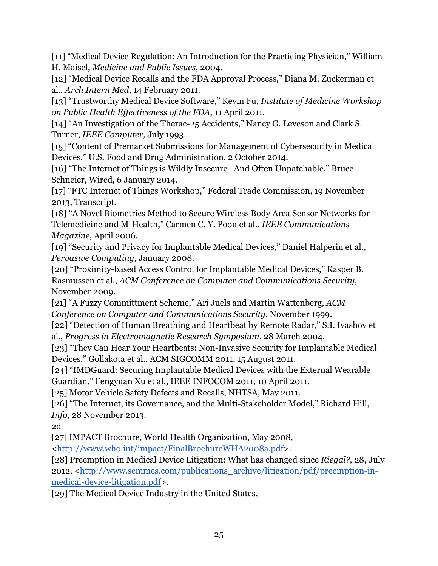[11] "Medical Device Regulation: An Introduction for the Practicing Physician," William H. Maisel, *Medicine and Public Issues*, 2004.

[12] "Medical Device Recalls and the FDA Approval Process," Diana M. Zuckerman et al., *Arch Intern Med*, 14 February 2011.

[13] "Trustworthy Medical Device Software," Kevin Fu, *Institute of Medicine Workshop on Public Health Effectiveness of the FDA*, 11 April 2011.

[14] "An Investigation of the Therac-25 Accidents," Nancy G. Leveson and Clark S. Turner, *IEEE Computer*, July 1993.

[15] "Content of Premarket Submissions for Management of Cybersecurity in Medical Devices," U.S. Food and Drug Administration, 2 October 2014.

[16] "The Internet of Things is Wildly Insecure--And Often Unpatchable," Bruce Schneier, Wired, 6 January 2014.

[17] "FTC Internet of Things Workshop," Federal Trade Commission, 19 November 2013, Transcript.

[18] "A Novel Biometrics Method to Secure Wireless Body Area Sensor Networks for Telemedicine and M-Health," Carmen C. Y. Poon et al., *IEEE Communications Magazine*, April 2006.

[19] "Security and Privacy for Implantable Medical Devices," Daniel Halperin et al., *Pervasive Computing*, January 2008.

[20] "Proximity-based Access Control for Implantable Medical Devices," Kasper B. Rasmussen et al., *ACM Conference on Computer and Communications Security*, November 2009.

[21] "A Fuzzy Committment Scheme," Ari Juels and Martin Wattenberg, *ACM Conference on Computer and Communications Security*, November 1999.

[22] "Detection of Human Breathing and Heartbeat by Remote Radar," S.I. Ivashov et al., *Progress in Electromagnetic Research Symposium*, 28 March 2004.

[23] "They Can Hear Your Heartbeats: Non-Invasive Security for Implantable Medical Devices," Gollakota et al., ACM SIGCOMM 2011, 15 August 2011.

[24] "IMDGuard: Securing Implantable Medical Devices with the External Wearable Guardian," Fengyuan Xu et al., IEEE INFOCOM 2011, 10 April 2011.

[25] Motor Vehicle Safety Defects and Recalls, NHTSA, May 2011.

[26] "The Internet, its Governance, and the Multi-Stakeholder Model," Richard Hill, *Info*, 28 November 2013.

2d

[27] IMPACT Brochure, World Health Organization, May 2008,

<http://www.who.int/impact/FinalBrochureWHA2008a.pdf>.

[28] Preemption in Medical Device Litigation: What has changed since *Riegal?*, 28, July 2012, <http://www.semmes.com/publications\_archive/litigation/pdf/preemption-inmedical-device-litigation.pdf>.

[29] The Medical Device Industry in the United States,